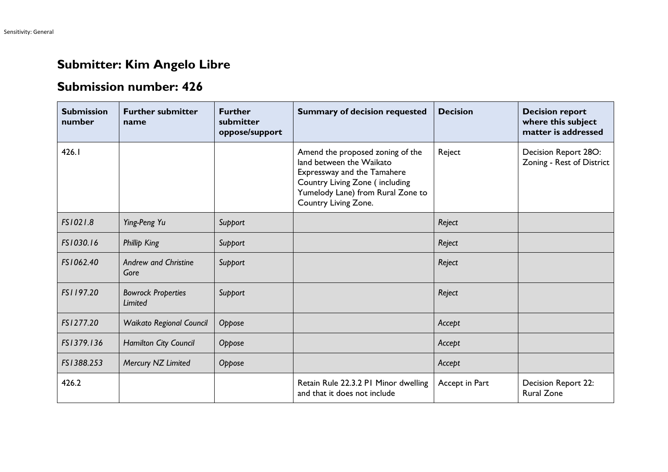## **Submitter: Kim Angelo Libre**

## **Submission number: 426**

| <b>Submission</b><br>number | <b>Further submitter</b><br>name     | <b>Further</b><br>submitter<br>oppose/support | <b>Summary of decision requested</b>                                                                                                                                                       | <b>Decision</b> | <b>Decision report</b><br>where this subject<br>matter is addressed |
|-----------------------------|--------------------------------------|-----------------------------------------------|--------------------------------------------------------------------------------------------------------------------------------------------------------------------------------------------|-----------------|---------------------------------------------------------------------|
| 426.I                       |                                      |                                               | Amend the proposed zoning of the<br>land between the Waikato<br>Expressway and the Tamahere<br>Country Living Zone (including<br>Yumelody Lane) from Rural Zone to<br>Country Living Zone. | Reject          | Decision Report 28O:<br>Zoning - Rest of District                   |
| FS1021.8                    | Ying-Peng Yu                         | Support                                       |                                                                                                                                                                                            | Reject          |                                                                     |
| FS1030.16                   | <b>Phillip King</b>                  | Support                                       |                                                                                                                                                                                            | Reject          |                                                                     |
| FS1062.40                   | <b>Andrew and Christine</b><br>Gore  | Support                                       |                                                                                                                                                                                            | Reject          |                                                                     |
| FS1197.20                   | <b>Bowrock Properties</b><br>Limited | Support                                       |                                                                                                                                                                                            | Reject          |                                                                     |
| FS1277.20                   | <b>Waikato Regional Council</b>      | Oppose                                        |                                                                                                                                                                                            | Accept          |                                                                     |
| FS1379.136                  | Hamilton City Council                | Oppose                                        |                                                                                                                                                                                            | Accept          |                                                                     |
| FS1388.253                  | Mercury NZ Limited                   | Oppose                                        |                                                                                                                                                                                            | Accept          |                                                                     |
| 426.2                       |                                      |                                               | Retain Rule 22.3.2 PI Minor dwelling<br>and that it does not include                                                                                                                       | Accept in Part  | Decision Report 22:<br><b>Rural Zone</b>                            |